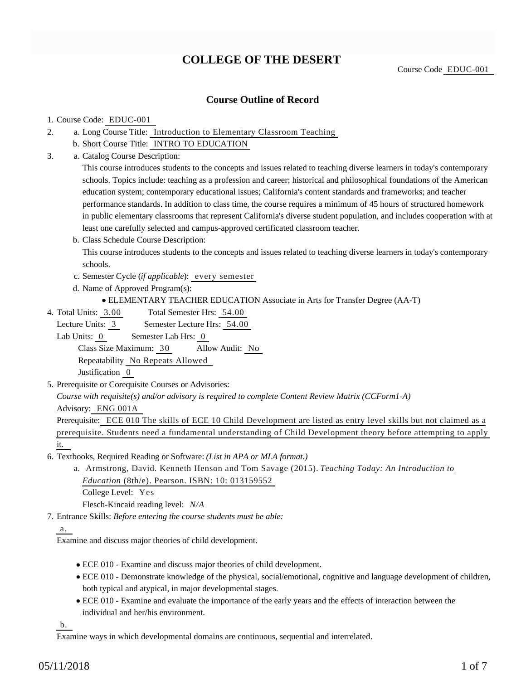# **COLLEGE OF THE DESERT**

Course Code EDUC-001

## **Course Outline of Record**

### 1. Course Code: EDUC-001

- a. Long Course Title: Introduction to Elementary Classroom Teaching 2.
	- b. Short Course Title: INTRO TO EDUCATION
- Catalog Course Description: a. 3.

This course introduces students to the concepts and issues related to teaching diverse learners in today's contemporary schools. Topics include: teaching as a profession and career; historical and philosophical foundations of the American education system; contemporary educational issues; California's content standards and frameworks; and teacher performance standards. In addition to class time, the course requires a minimum of 45 hours of structured homework in public elementary classrooms that represent California's diverse student population, and includes cooperation with at least one carefully selected and campus-approved certificated classroom teacher.

b. Class Schedule Course Description:

This course introduces students to the concepts and issues related to teaching diverse learners in today's contemporary schools.

- c. Semester Cycle (*if applicable*): every semester
- d. Name of Approved Program(s):
	- ELEMENTARY TEACHER EDUCATION Associate in Arts for Transfer Degree (AA-T)
- Total Semester Hrs: 54.00 4. Total Units: 3.00

Lecture Units: 3 Semester Lecture Hrs: 54.00

Lab Units: 0 Semester Lab Hrs: 0

Class Size Maximum: 30 Allow Audit: No

Repeatability No Repeats Allowed

Justification 0

5. Prerequisite or Corequisite Courses or Advisories:

*Course with requisite(s) and/or advisory is required to complete Content Review Matrix (CCForm1-A)*

Advisory: ENG 001A

Prerequisite: ECE 010 The skills of ECE 10 Child Development are listed as entry level skills but not claimed as a prerequisite. Students need a fundamental understanding of Child Development theory before attempting to apply it.

- 6. Textbooks, Required Reading or Software: (List in APA or MLA format.)
	- a. Armstrong, David. Kenneth Henson and Tom Savage (2015). *Teaching Today: An Introduction to Education* (8th/e). Pearson. ISBN: 10: 013159552 College Level: Yes

Flesch-Kincaid reading level: *N/A*

Entrance Skills: *Before entering the course students must be able:* 7.

## a.

Examine and discuss major theories of child development.

- ECE 010 Examine and discuss major theories of child development.
- ECE 010 Demonstrate knowledge of the physical, social/emotional, cognitive and language development of children, both typical and atypical, in major developmental stages.
- ECE 010 Examine and evaluate the importance of the early years and the effects of interaction between the individual and her/his environment.

b.

Examine ways in which developmental domains are continuous, sequential and interrelated.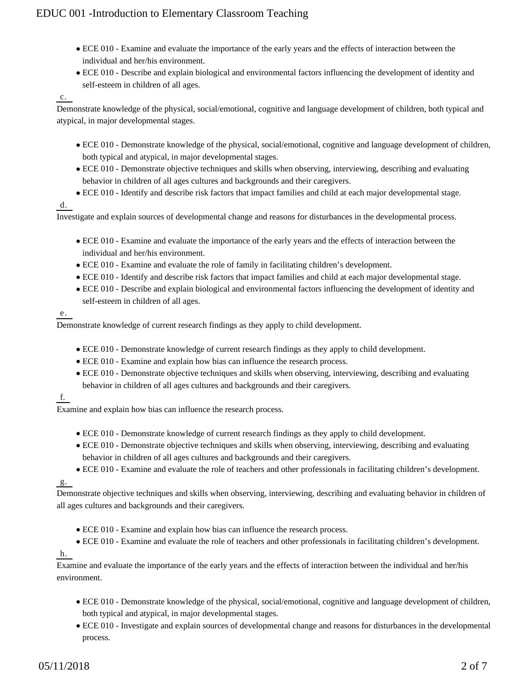- ECE 010 Examine and evaluate the importance of the early years and the effects of interaction between the individual and her/his environment.
- ECE 010 Describe and explain biological and environmental factors influencing the development of identity and self-esteem in children of all ages.

### c.

Demonstrate knowledge of the physical, social/emotional, cognitive and language development of children, both typical and atypical, in major developmental stages.

- ECE 010 Demonstrate knowledge of the physical, social/emotional, cognitive and language development of children, both typical and atypical, in major developmental stages.
- ECE 010 Demonstrate objective techniques and skills when observing, interviewing, describing and evaluating behavior in children of all ages cultures and backgrounds and their caregivers.
- ECE 010 Identify and describe risk factors that impact families and child at each major developmental stage.

d.

Investigate and explain sources of developmental change and reasons for disturbances in the developmental process.

- ECE 010 Examine and evaluate the importance of the early years and the effects of interaction between the individual and her/his environment.
- ECE 010 Examine and evaluate the role of family in facilitating children's development.
- ECE 010 Identify and describe risk factors that impact families and child at each major developmental stage.
- ECE 010 Describe and explain biological and environmental factors influencing the development of identity and self-esteem in children of all ages.

### e.

Demonstrate knowledge of current research findings as they apply to child development.

- ECE 010 Demonstrate knowledge of current research findings as they apply to child development.
- ECE 010 Examine and explain how bias can influence the research process.
- ECE 010 Demonstrate objective techniques and skills when observing, interviewing, describing and evaluating behavior in children of all ages cultures and backgrounds and their caregivers.

## f.

Examine and explain how bias can influence the research process.

- ECE 010 Demonstrate knowledge of current research findings as they apply to child development.
- ECE 010 Demonstrate objective techniques and skills when observing, interviewing, describing and evaluating behavior in children of all ages cultures and backgrounds and their caregivers.
- ECE 010 Examine and evaluate the role of teachers and other professionals in facilitating children's development.

## $g_{\cdot}$

Demonstrate objective techniques and skills when observing, interviewing, describing and evaluating behavior in children of all ages cultures and backgrounds and their caregivers.

- ECE 010 Examine and explain how bias can influence the research process.
- ECE 010 Examine and evaluate the role of teachers and other professionals in facilitating children's development.

## h.

Examine and evaluate the importance of the early years and the effects of interaction between the individual and her/his environment.

- ECE 010 Demonstrate knowledge of the physical, social/emotional, cognitive and language development of children, both typical and atypical, in major developmental stages.
- ECE 010 Investigate and explain sources of developmental change and reasons for disturbances in the developmental process.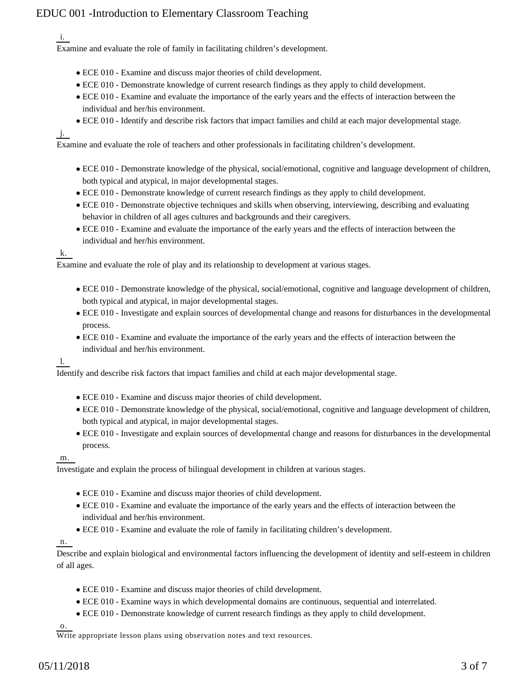i.

Examine and evaluate the role of family in facilitating children's development.

- ECE 010 Examine and discuss major theories of child development.
- ECE 010 Demonstrate knowledge of current research findings as they apply to child development.
- ECE 010 Examine and evaluate the importance of the early years and the effects of interaction between the individual and her/his environment.
- ECE 010 Identify and describe risk factors that impact families and child at each major developmental stage.

j.

Examine and evaluate the role of teachers and other professionals in facilitating children's development.

- ECE 010 Demonstrate knowledge of the physical, social/emotional, cognitive and language development of children, both typical and atypical, in major developmental stages.
- ECE 010 Demonstrate knowledge of current research findings as they apply to child development.
- ECE 010 Demonstrate objective techniques and skills when observing, interviewing, describing and evaluating behavior in children of all ages cultures and backgrounds and their caregivers.
- ECE 010 Examine and evaluate the importance of the early years and the effects of interaction between the individual and her/his environment.

#### k.

Examine and evaluate the role of play and its relationship to development at various stages.

- ECE 010 Demonstrate knowledge of the physical, social/emotional, cognitive and language development of children, both typical and atypical, in major developmental stages.
- ECE 010 Investigate and explain sources of developmental change and reasons for disturbances in the developmental process.
- ECE 010 Examine and evaluate the importance of the early years and the effects of interaction between the individual and her/his environment.

l.

Identify and describe risk factors that impact families and child at each major developmental stage.

- ECE 010 Examine and discuss major theories of child development.
- ECE 010 Demonstrate knowledge of the physical, social/emotional, cognitive and language development of children, both typical and atypical, in major developmental stages.
- ECE 010 Investigate and explain sources of developmental change and reasons for disturbances in the developmental process.

m.

Investigate and explain the process of bilingual development in children at various stages.

- ECE 010 Examine and discuss major theories of child development.
- ECE 010 Examine and evaluate the importance of the early years and the effects of interaction between the individual and her/his environment.
- ECE 010 Examine and evaluate the role of family in facilitating children's development.

n.

Describe and explain biological and environmental factors influencing the development of identity and self-esteem in children of all ages.

- ECE 010 Examine and discuss major theories of child development.
- ECE 010 Examine ways in which developmental domains are continuous, sequential and interrelated.
- ECE 010 Demonstrate knowledge of current research findings as they apply to child development.

o.

Write appropriate lesson plans using observation notes and text resources.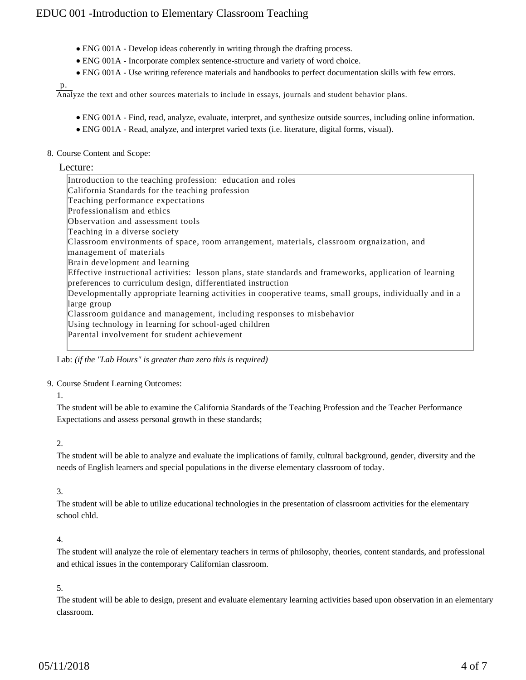- ENG 001A Develop ideas coherently in writing through the drafting process.
- ENG 001A Incorporate complex sentence-structure and variety of word choice.
- ENG 001A Use writing reference materials and handbooks to perfect documentation skills with few errors.

p.

Analyze the text and other sources materials to include in essays, journals and student behavior plans.

- ENG 001A Find, read, analyze, evaluate, interpret, and synthesize outside sources, including online information.
- ENG 001A Read, analyze, and interpret varied texts (i.e. literature, digital forms, visual).

#### 8. Course Content and Scope:

#### Lecture:

| Introduction to the teaching profession: education and roles                                              |
|-----------------------------------------------------------------------------------------------------------|
| California Standards for the teaching profession                                                          |
| Teaching performance expectations                                                                         |
| Professionalism and ethics                                                                                |
| Observation and assessment tools                                                                          |
| Teaching in a diverse society                                                                             |
| Classroom environments of space, room arrangement, materials, classroom orgnaization, and                 |
| management of materials                                                                                   |
| Brain development and learning                                                                            |
| Effective instructional activities: lesson plans, state standards and frameworks, application of learning |
| preferences to curriculum design, differentiated instruction                                              |
| Developmentally appropriate learning activities in cooperative teams, small groups, individually and in a |
| large group                                                                                               |
| Classroom guidance and management, including responses to misbehavior                                     |
| Using technology in learning for school-aged children                                                     |
| Parental involvement for student achievement                                                              |
|                                                                                                           |

Lab: *(if the "Lab Hours" is greater than zero this is required)*

#### 9. Course Student Learning Outcomes:

1.

The student will be able to examine the California Standards of the Teaching Profession and the Teacher Performance Expectations and assess personal growth in these standards;

#### 2.

The student will be able to analyze and evaluate the implications of family, cultural background, gender, diversity and the needs of English learners and special populations in the diverse elementary classroom of today.

## 3.

The student will be able to utilize educational technologies in the presentation of classroom activities for the elementary school chld.

## 4.

The student will analyze the role of elementary teachers in terms of philosophy, theories, content standards, and professional and ethical issues in the contemporary Californian classroom.

## 5.

The student will be able to design, present and evaluate elementary learning activities based upon observation in an elementary classroom.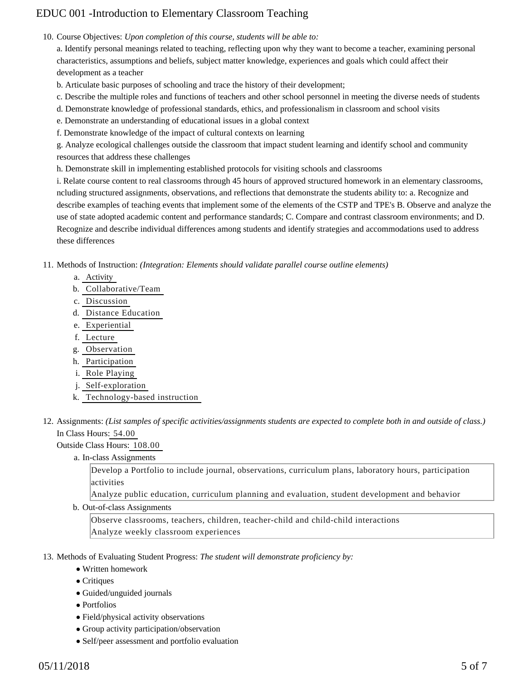10. Course Objectives: Upon completion of this course, students will be able to:

a. Identify personal meanings related to teaching, reflecting upon why they want to become a teacher, examining personal characteristics, assumptions and beliefs, subject matter knowledge, experiences and goals which could affect their development as a teacher

b. Articulate basic purposes of schooling and trace the history of their development;

c. Describe the multiple roles and functions of teachers and other school personnel in meeting the diverse needs of students

d. Demonstrate knowledge of professional standards, ethics, and professionalism in classroom and school visits

e. Demonstrate an understanding of educational issues in a global context

f. Demonstrate knowledge of the impact of cultural contexts on learning

g. Analyze ecological challenges outside the classroom that impact student learning and identify school and community resources that address these challenges

h. Demonstrate skill in implementing established protocols for visiting schools and classrooms

i. Relate course content to real classrooms through 45 hours of approved structured homework in an elementary classrooms, ncluding structured assignments, observations, and reflections that demonstrate the students ability to: a. Recognize and describe examples of teaching events that implement some of the elements of the CSTP and TPE's B. Observe and analyze the use of state adopted academic content and performance standards; C. Compare and contrast classroom environments; and D. Recognize and describe individual differences among students and identify strategies and accommodations used to address these differences

11. Methods of Instruction: *(Integration: Elements should validate parallel course outline elements)* 

- a. Activity
- b. Collaborative/Team
- c. Discussion
- d. Distance Education
- e. Experiential
- f. Lecture
- g. Observation
- h. Participation
- i. Role Playing
- j. Self-exploration
- k. Technology-based instruction
- 12. Assignments: (List samples of specific activities/assignments students are expected to complete both in and outside of class.) In Class Hours: 54.00

#### Outside Class Hours: 108.00

a. In-class Assignments

Develop a Portfolio to include journal, observations, curriculum plans, laboratory hours, participation activities

Analyze public education, curriculum planning and evaluation, student development and behavior

b. Out-of-class Assignments

Observe classrooms, teachers, children, teacher-child and child-child interactions Analyze weekly classroom experiences

#### 13. Methods of Evaluating Student Progress: The student will demonstrate proficiency by:

- Written homework
- Critiques
- Guided/unguided journals
- Portfolios
- Field/physical activity observations
- Group activity participation/observation
- Self/peer assessment and portfolio evaluation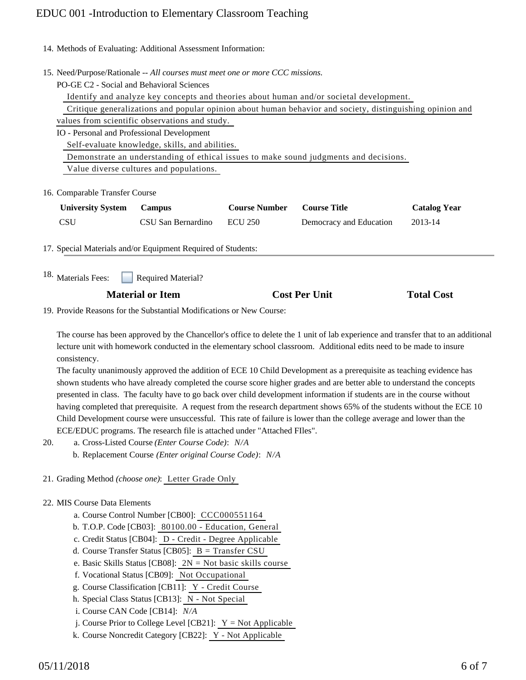14. Methods of Evaluating: Additional Assessment Information:

- 15. Need/Purpose/Rationale -- All courses must meet one or more CCC missions.
	- PO-GE C2 Social and Behavioral Sciences

Identify and analyze key concepts and theories about human and/or societal development.

 Critique generalizations and popular opinion about human behavior and society, distinguishing opinion and values from scientific observations and study.

IO - Personal and Professional Development

Self-evaluate knowledge, skills, and abilities.

Demonstrate an understanding of ethical issues to make sound judgments and decisions.

Value diverse cultures and populations.

16. Comparable Transfer Course

| <b>University System</b> | Campus             | <b>Course Number</b> | <b>Course Title</b>     | <b>Catalog Year</b> |
|--------------------------|--------------------|----------------------|-------------------------|---------------------|
| <b>CSU</b>               | CSU San Bernardino | <b>ECU 250</b>       | Democracy and Education | 2013-14             |

17. Special Materials and/or Equipment Required of Students:

Required Material? <sup>18.</sup> Materials Fees:

## **Material or Item Cost Per Unit Total Cost**

19. Provide Reasons for the Substantial Modifications or New Course:

The course has been approved by the Chancellor's office to delete the 1 unit of lab experience and transfer that to an additional lecture unit with homework conducted in the elementary school classroom. Additional edits need to be made to insure consistency.

The faculty unanimously approved the addition of ECE 10 Child Development as a prerequisite as teaching evidence has shown students who have already completed the course score higher grades and are better able to understand the concepts presented in class. The faculty have to go back over child development information if students are in the course without having completed that prerequisite. A request from the research department shows 65% of the students without the ECE 10 Child Development course were unsuccessful. This rate of failure is lower than the college average and lower than the ECE/EDUC programs. The research file is attached under "Attached FIles".

- a. Cross-Listed Course *(Enter Course Code)*: *N/A* 20.
	- b. Replacement Course *(Enter original Course Code)*: *N/A*
- 21. Grading Method *(choose one)*: Letter Grade Only

## 22. MIS Course Data Elements

- a. Course Control Number [CB00]: CCC000551164
- b. T.O.P. Code [CB03]: 80100.00 Education, General
- c. Credit Status [CB04]: D Credit Degree Applicable
- d. Course Transfer Status [CB05]: B = Transfer CSU
- e. Basic Skills Status [CB08]: 2N = Not basic skills course
- f. Vocational Status [CB09]: Not Occupational
- g. Course Classification [CB11]: Y Credit Course
- h. Special Class Status [CB13]: N Not Special
- i. Course CAN Code [CB14]: *N/A*
- j. Course Prior to College Level [CB21]:  $Y = Not$  Applicable
- k. Course Noncredit Category [CB22]: Y Not Applicable